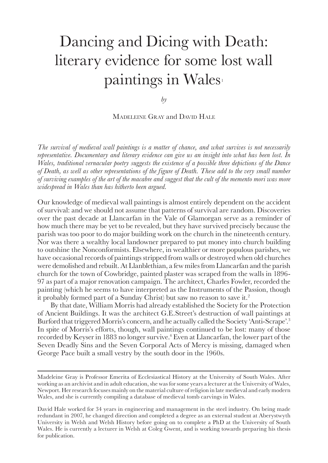## <span id="page-0-0"></span>Dancing and Dicing with Death: literary evidence for some lost wall paintings in Wales

*by*

Madeleine Gray and David Hale

*The survival of medieval wall paintings is a matter of chance, and what survives is not necessarily representative. Documentary and literary evidence can give us an insight into what has been lost. In Wales, traditional vernacular poetry suggests the existence of a possible three depictions of the Dance of Death, as well as other representations of the figure of Death. These add to the very small number of surviving examples of the art of the macabre and suggest that the cult of the memento mori was more widespread in Wales than has hitherto been argued.*

Our knowledge of medieval wall paintings is almost entirely dependent on the accident of survival: and we should not assume that patterns of survival are random. Discoveries over the past decade at Llancarfan in the Vale of Glamorgan serve as a reminder of how much there may be yet to be revealed, but they have survived precisely because the parish was too poor to do major building work on the church in the nineteenth century. Nor was there a wealthy local landowner prepared to put money into church building to outshine the Nonconformists. Elsewhere, in wealthier or more populous parishes, we have occasional records of paintings stripped from walls or destroyed when old churches were demolished and rebuilt. At Llanblethian, a few miles from Llancarfan and the parish church for the town of Cowbridge, painted plaster was scraped from the walls in 1896- 97 as part of a major renovation campaign. The architect, Charles Fowler, recorded the painting (which he seems to have interpreted as the Instruments of the Passion, though it probably formed part of a Sunday Christ) but saw no reason to save it.[2](#page-10-0)

By that date, William Morris had already established the Society for the Protection of Ancient Buildings. It was the architect G.E.Street's destruction of wall paintings at Burford that triggered Morris's concern, and he actually called the Society 'Anti-Scrape'[.3](#page-10-0) In spite of Morris's efforts, though, wall paintings continued to be lost: many of those recorded by Keyser in 1883 no longer survive.<sup>4</sup> Even at Llancarfan, the lower part of the Seven Deadly Sins and the Seven Corporal Acts of Mercy is missing, damaged when George Pace built a small vestry by the south door in the 1960s.

Madeleine Gray is Professor Emerita of Ecclesiastical History at the University of South Wales. After working as an archivist and in adult education, she was for some years a lecturer at the University of Wales, Newport. Her research focuses mainly on the material culture of religion in late medieval and early modern Wales, and she is currently compiling a database of medieval tomb carvings in Wales.

David Hale worked for 34 years in engineering and management in the steel industry. On being made redundant in 2007, he changed direction and completed a degree as an external student at Aberystwyth University in Welsh and Welsh History before going on to complete a PhD at the University of South Wales. He is currently a lecturer in Welsh at Coleg Gwent, and is working towards preparing his thesis for publication.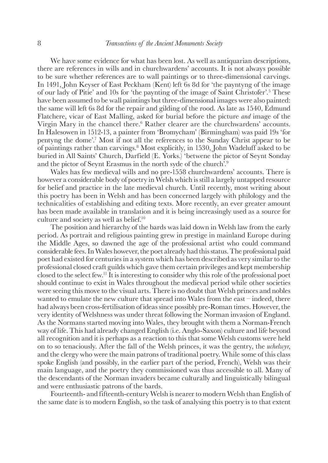<span id="page-1-0"></span>We have some evidence for what has been lost. As well as antiquarian descriptions, there are references in wills and in churchwardens' accounts. It is not always possible to be sure whether references are to wall paintings or to three-dimensional carvings. In 1491, John Keyser of East Peckham (Kent) left 6s 8d for 'the payntyng of the image of our lady of Pitie' and 10s for 'the paynting of the image of Saint Christofer'.[5](#page-10-0) These have been assumed to be wall paintings but three-dimensional images were also painted: the same will left 6s 8d for the repair and gilding of the rood. As late as 1540, Edmund Flatchere, vicar of East Malling, asked for burial before the picture *and* image of the Virgin Mary in the chancel there.<sup>6</sup> Rather clearer are the churchwardens' accounts. In Halesowen in 1512-13, a painter from 'Bromycham' (Birmingham) was paid 19s 'for pentyng the dome'[.7](#page-10-0) Most if not all the references to the Sunday Christ appear to be of paintings rather than carvings.[8](#page-10-0) Most explicitly, in 1530, John Wadeluff asked to be buried in All Saints' Church, Darfield (E. Yorks.) 'betwene the pictor of Seynt Sonday and the pictor of Seynt Erasmus in the north syde of the church'[.9](#page-10-0)

Wales has few medieval wills and no pre-1558 churchwardens' accounts. There is however a considerable body of poetry in Welsh which is still a largely untapped resource for belief and practice in the late medieval church. Until recently, most writing about this poetry has been in Welsh and has been concerned largely with philology and the technicalities of establishing and editing texts. More recently, an ever greater amount has been made available in translation and it is being increasingly used as a source for culture and society as well as belief[.10](#page-11-0)

The position and hierarchy of the bards was laid down in Welsh law from the early period. As portrait and religious painting grew in prestige in mainland Europe during the Middle Ages, so dawned the age of the professional artist who could command considerable fees. In Wales however, the poet already had this status. The professional paid poet had existed for centuries in a system which has been described as very similar to the professional closed craft guilds which gave them certain privileges and kept membership closed to the select few[.11](#page-11-0) It is interesting to consider why this role of the professional poet should continue to exist in Wales throughout the medieval period while other societies were seeing this move to the visual arts. There is no doubt that Welsh princes and nobles wanted to emulate the new culture that spread into Wales from the east – indeed, there had always been cross-fertilisation of ideas since possibly pre-Roman times. However, the very identity of Welshness was under threat following the Norman invasion of England. As the Normans started moving into Wales, they brought with them a Norman-French way of life. This had already changed English (i.e. Anglo-Saxon) culture and life beyond all recognition and it is perhaps as a reaction to this that some Welsh customs were held on to so tenaciously. After the fall of the Welsh princes, it was the gentry, the *uchelwyr*, and the clergy who were the main patrons of traditional poetry. While some of this class spoke English (and possibly, in the earlier part of the period, French), Welsh was their main language, and the poetry they commissioned was thus accessible to all. Many of the descendants of the Norman invaders became culturally and linguistically bilingual and were enthusiastic patrons of the bards.

Fourteenth- and fifteenth-century Welsh is nearer to modern Welsh than English of the same date is to modern English, so the task of analysing this poetry is to that extent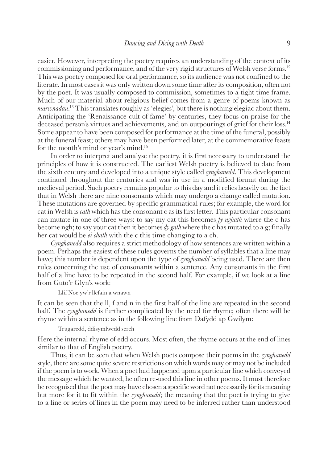<span id="page-2-0"></span>easier. However, interpreting the poetry requires an understanding of the context of its commissioning and performance, and of the very rigid structures of Welsh verse forms.<sup>12</sup> This was poetry composed for oral performance, so its audience was not confined to the literate. In most cases it was only written down some time after its composition, often not by the poet. It was usually composed to commission, sometimes to a tight time frame. Much of our material about religious belief comes from a genre of poems known as *marwnadau*. [13](#page-11-0) This translates roughly as 'elegies', but there is nothing elegiac about them. Anticipating the 'Renaissance cult of fame' by centuries, they focus on praise for the deceased person's virtues and achievements, and on outpourings of grief for their loss[.14](#page-11-0) Some appear to have been composed for performance at the time of the funeral, possibly at the funeral feast; others may have been performed later, at the commemorative feasts for the month's mind or year's mind[.15](#page-11-0)

In order to interpret and analyse the poetry, it is first necessary to understand the principles of how it is constructed. The earliest Welsh poetry is believed to date from the sixth century and developed into a unique style called *cynghanedd*. This development continued throughout the centuries and was in use in a modified format during the medieval period. Such poetry remains popular to this day and it relies heavily on the fact that in Welsh there are nine consonants which may undergo a change called mutation. These mutations are governed by specific grammatical rules; for example, the word for cat in Welsh is *cath* which has the consonant c as its first letter. This particular consonant can mutate in one of three ways: to say my cat this becomes *fy nghath* where the c has become ngh; to say your cat then it becomes *dy gath* where the c has mutated to a g; finally her cat would be *ei chath* with the c this time changing to a ch.

*Cynghanedd* also requires a strict methodology of how sentences are written within a poem. Perhaps the easiest of these rules governs the number of syllables that a line may have; this number is dependent upon the type of *cynghanedd* being used. There are then rules concerning the use of consonants within a sentence. Any consonants in the first half of a line have to be repeated in the second half. For example, if we look at a line from Guto'r Glyn's work:

Llif Noe yw'r llefain a wnawn

It can be seen that the ll, f and n in the first half of the line are repeated in the second half. The *cynghanedd* is further complicated by the need for rhyme; often there will be rhyme within a sentence as in the following line from Dafydd ap Gwilym:

Trugaredd, ddisymlwedd serch

Here the internal rhyme of edd occurs. Most often, the rhyme occurs at the end of lines similar to that of English poetry.

Thus, it can be seen that when Welsh poets compose their poems in the *cynghanedd* style, there are some quite severe restrictions on which words may or may not be included if the poem is to work. When a poet had happened upon a particular line which conveyed the message which he wanted, he often re-used this line in other poems. It must therefore be recognised that the poet may have chosen a specific word not necessarily for its meaning but more for it to fit within the *cynghanedd*; the meaning that the poet is trying to give to a line or series of lines in the poem may need to be inferred rather than understood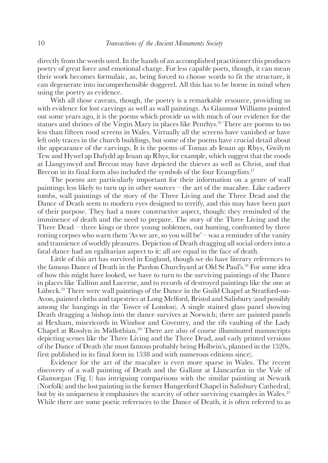<span id="page-3-0"></span>directly from the words used. In the hands of an accomplished practitioner this produces poetry of great force and emotional charge. For less capable poets, though, it can mean their work becomes formulaic, as, being forced to choose words to fit the structure, it can degenerate into incomprehensible doggerel. All this has to be borne in mind when using the poetry as evidence.

With all those caveats, though, the poetry is a remarkable resource, providing us with evidence for lost carvings as well as wall paintings. As Glanmor Williams pointed out some years ago, it is the poems which provide us with much of our evidence for the statues and shrines of the Virgin Mary in places like Penrhys[.16](#page-11-0) There are poems to no less than fifteen rood screens in Wales. Virtually all the screens have vanished or have left only traces in the church buildings, but some of the poems have crucial detail about the appearance of the carvings. It is the poems of Tomas ab Ieuan ap Rhys, Gwilym Tew and Hywel ap Dafydd ap Ieuan ap Rhys, for example, which suggest that the roods at Llangynwyd and Brecon may have depicted the thieves as well as Christ, and that Brecon in its final form also included the symbols of the four Evangelists.<sup>17</sup>

The poems are particularly important for their information on a genre of wall paintings less likely to turn up in other sources – the art of the macabre. Like cadaver tombs, wall paintings of the story of the Three Living and the Three Dead and the Dance of Death seem to modern eyes designed to terrify, and this may have been part of their purpose. They had a more constructive aspect, though: they reminded of the imminence of death and the need to prepare. The story of the Three Living and the Three Dead – three kings or three young noblemen, out hunting, confronted by three rotting corpses who warn them 'As we are, so you will be' – was a reminder of the vanity and transience of worldly pleasures. Depiction of Death dragging all social orders into a fatal dance had an egalitarian aspect to it: all are equal in the face of death.

Little of this art has survived in England, though we do have literary references to the famous Dance of Death in the Pardon Churchyard at Old St Paul's[.18](#page-11-0) For some idea of how this might have looked, we have to turn to the surviving paintings of the Dance in places like Tallinn and Lucerne, and to records of destroyed paintings like the one at Lübeck[.19](#page-11-0) There were wall paintings of the Dance in the Guild Chapel at Stratford-on-Avon, painted cloths and tapestries at Long Melford, Bristol and Salisbury (and possibly among the hangings in the Tower of London). A single stained glass panel showing Death dragging a bishop into the dance survives at Norwich; there are painted panels at Hexham, misericords in Windsor and Coventry, and the rib vaulting of the Lady Chapel at Rosslyn in Midlothian.[20](#page-11-0) There are also of course illuminated manuscripts depicting scenes like the Three Living and the Three Dead, and early printed versions of the Dance of Death (the most famous probably being Holbein's, planned in the 1520s, first published in its final form in 1538 and with numerous editions since).

Evidence for the art of the macabre is even more sparse in Wales. The recent discovery of a wall painting of Death and the Gallant at Llancarfan in the Vale of Glamorgan (Fig. 1) has intriguing comparisons with the similar painting at Newark (Norfolk) and the lost painting in the former Hungerford Chapel in Salisbury Cathedral, but by its uniqueness it emphasises the scarcity of other surviving examples in Wales.<sup>[21](#page-11-0)</sup> While there are some poetic references to the Dance of Death, it is often referred to as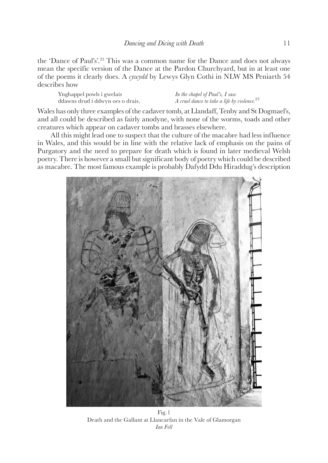<span id="page-4-0"></span>the 'Dance of Paul's'.<sup>22</sup> This was a common name for the Dance and does not always mean the specific version of the Dance at the Pardon Churchyard, but in at least one of the poems it clearly does. A *cywydd* by Lewys Glyn Cothi in NLW MS Peniarth 54 describes how

Ynghappel powls i gwelais ddawns drud i ddwyn oes o drais.

*In the chapel of Paul's, I saw A cruel dance to take a life by violence.*[23](#page-11-0)

Wales has only three examples of the cadaver tomb, at Llandaff, Tenby and St Dogmael's, and all could be described as fairly anodyne, with none of the worms, toads and other creatures which appear on cadaver tombs and brasses elsewhere.

All this might lead one to suspect that the culture of the macabre had less influence in Wales, and this would be in line with the relative lack of emphasis on the pains of Purgatory and the need to prepare for death which is found in later medieval Welsh poetry. There is however a small but significant body of poetry which could be described as macabre. The most famous example is probably Dafydd Ddu Hiraddug's description



Fig.1 Death and the Gallant at Llancarfan in the Vale of Glamorgan *Ian Fell*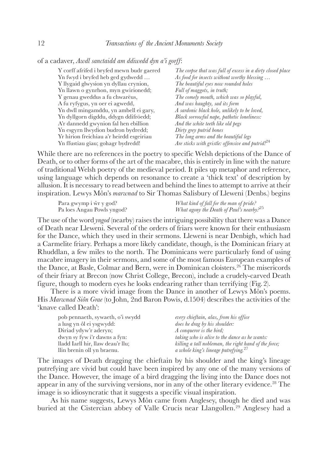<span id="page-5-0"></span>of a cadaver, *Awdl sanctaidd am ddiwedd dyn a'i gorff*:

| Y corff afrifed i bryfed mewn budr gaered | The corpse that was full of excess in a dirty closed place   |
|-------------------------------------------|--------------------------------------------------------------|
| Yn fwyd i bryfed heb ged gydwedd          | As food for insects without worthy blessing                  |
| Y llygaid glwysion yn dyllau crynion,     | The beautiful eyes now rounded holes                         |
| Yn llawn o gynrhon, myn gwirionedd;       | Full of maggots, in truth;                                   |
| Y genau gweddus a fu chwarëus,            | The comely mouth, which was so playful,                      |
| A fu ryfygus, yn oer ei agwedd,           | And was haughty, sad its form                                |
| Yn dwll mingamddu, yn ambell ei gary,     | A sardonic black hole, unlikely to be loved,                 |
| Yn dyllgorn digddu, ddygn ddifröedd;      | Black sorrowful nape, pathetic loneliness:                   |
| A'r dannedd gwynion fal hen ebillion      | And the white teeth like old pegs                            |
| Yn esgyrn llwydion budron bydredd;        | Dirty grey putrid bones                                      |
| Yr hirion freichiau a'r heirdd esgeiriau  | The long arms and the beautiful legs                         |
| Yn ffustiau gïau; gohagr bydredd!         | Are sticks with gristle: offensive and putrid! <sup>24</sup> |

While there are no references in the poetry to specific Welsh depictions of the Dance of Death, or to other forms of the art of the macabre, this is entirely in line with the nature of traditional Welsh poetry of the medieval period. It piles up metaphor and reference, using language which depends on resonance to create a 'thick text' of description by allusion. It is necessary to read between and behind the lines to attempt to arrive at their inspiration. Lewys Môn's *marwnad* to Sir Thomas Salisbury of Lleweni (Denbs.) begins

| Para gwymp i ŵr y god?     | What kind of fall for the man of pride?               |
|----------------------------|-------------------------------------------------------|
| Pa loes Angau Powls yngod? | What agony the Death of Paul's nearby. <sup>225</sup> |

The use of the word *yngod* (nearby) raises the intriguing possibility that there was a Dance of Death near Lleweni. Several of the orders of friars were known for their enthusiasm for the Dance, which they used in their sermons. Lleweni is near Denbigh, which had a Carmelite friary. Perhaps a more likely candidate, though, is the Dominican friary at Rhuddlan, a few miles to the north. The Dominicans were particularly fond of using macabre imagery in their sermons, and some of the most famous European examples of the Dance, at Basle, Colmar and Bern, were in Dominican cloisters.[26](#page-11-0) The misericords of their friary at Brecon (now Christ College, Brecon), include a crudely-carved Death figure, though to modern eyes he looks endearing rather than terrifying (Fig.2).

There is a more vivid image from the Dance in another of Lewys Môn's poems. His *Marwnad Siôn Grae* (to John, 2nd Baron Powis, d.1504) describes the activities of the 'knave called Death':

| pob pennaeth, sywaeth, o'i swydd  | every chieftain, alas, from his office                |
|-----------------------------------|-------------------------------------------------------|
| a lusg yn ôl ei ysgwydd:          | does he drag by his shoulder:                         |
| Diriad ydyw'r aderyn;             | A conqueror is the bird;                              |
| dwyn sy fyw i'r dawns a fyn:      | taking who is alive to the dance as he wants:         |
| lladd Iarll hir, llaw deau'r llu; | killing a tall nobleman, the right hand of the force, |
| llin brenin oll yn braenu.        | a whole king's lineage putrefying. <sup>27</sup>      |

The images of Death dragging the chieftain by his shoulder and the king's lineage putrefying are vivid but could have been inspired by any one of the many versions of the Dance. However, the image of a bird dragging the living into the Dance does not appear in any of the surviving versions, nor in any of the other literary evidence.<sup>[28](#page-12-0)</sup> The image is so idiosyncratic that it suggests a specific visual inspiration.

As his name suggests, Lewys Môn came from Anglesey, though he died and was buried at the Cistercian abbey of Valle Crucis near Llangollen[.29](#page-12-0) Anglesey had a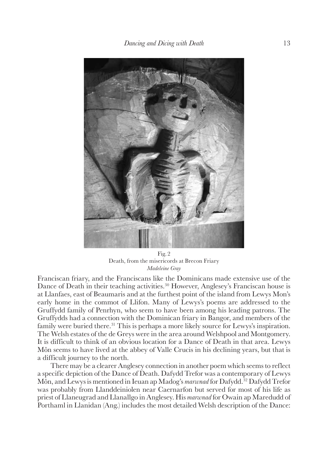<span id="page-6-0"></span>

Fig.2 Death, from the misericords at Brecon Friary *Madeleine Gray* 

Franciscan friary, and the Franciscans like the Dominicans made extensive use of the Dance of Death in their teaching activities.<sup>30</sup> However, Anglesey's Franciscan house is at Llanfaes, east of Beaumaris and at the furthest point of the island from Lewys Mon's early home in the commot of Llifon. Many of Lewys's poems are addressed to the Gruffydd family of Penrhyn, who seem to have been among his leading patrons. The Gruffydds had a connection with the Dominican friary in Bangor, and members of the family were buried there.<sup>31</sup> This is perhaps a more likely source for Lewys's inspiration. The Welsh estates of the de Greys were in the area around Welshpool and Montgomery. It is difficult to think of an obvious location for a Dance of Death in that area. Lewys Môn seems to have lived at the abbey of Valle Crucis in his declining years, but that is a difficult journey to the north.

There may be a clearer Anglesey connection in another poem which seems to reflect a specific depiction of the Dance of Death. Dafydd Trefor was a contemporary of Lewys Môn, and Lewys is mentioned in Ieuan ap Madog's *marwnad* for Dafydd.<sup>[32](#page-12-0)</sup> Dafydd Trefor was probably from Llanddeiniolen near Caernarfon but served for most of his life as priest of Llaneugrad and Llanallgo in Anglesey. His *marwnad* for Owain ap Maredudd of Porthaml in Llanidan (Ang.) includes the most detailed Welsh description of the Dance: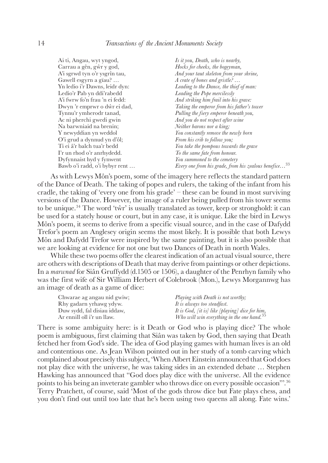<span id="page-7-0"></span>

| Ai ti, Angau, wyt yngod,       | Is it you, Death, who is nearby,                                  |
|--------------------------------|-------------------------------------------------------------------|
| Carrau a gên, gŵr y god,       | Hocks for cheeks, the bogeyman,                                   |
| A'i sgrwd tyn o'r ysgrîn tau,  | And your taut skeleton from your shrine,                          |
| Gawell esgyrn a gïau?          | A crate of bones and gristle? $\ldots$                            |
| Yn ledio i'r Dawns, leidr dyn: | Leading to the Dance, the thief of man:                           |
| Ledio'r Pab yn ddi'rabedd      | Leading the Pope mercilessly                                      |
| A'i fwrw fo'n frau 'n ei fedd: | And striking him frail into his grave:                            |
| Dwyn 'r emprwr o dŵr ei dad,   | Taking the emperor from his father's tower                        |
| Tynnu'r ymherodr tanad,        | Pulling the fiery emperor beneath you,                            |
| Ac ni pherchi gwedi gwin       | And you do not respect after wine                                 |
| Na barwniaid na brenin;        | Neither barons nor a king;                                        |
| Y newyddian yn weddol          | You constantly remove the newly born                              |
| O'i grud a dynnud yn d'ôl;     | From his crib to follow you;                                      |
| Ti ei â'r balch tua'r bedd     | You take the pompous towards the grave                            |
| I'r un rhod o'r anrhydedd.     | To the same fate from honour.                                     |
| Dyfynnaist hyd y fynwent       | You summoned to the cemetery                                      |
| Bawb o'i radd, o'i bybyr rent  | Every one from his grade, from his zealous benefice <sup>33</sup> |
|                                |                                                                   |

As with Lewys Môn's poem, some of the imagery here reflects the standard pattern of the Dance of Death. The taking of popes and rulers, the taking of the infant from his cradle, the taking of 'every one from his grade' – these can be found in most surviving versions of the Dance. However, the image of a ruler being pulled from his tower seems to be unique.<sup>34</sup> The word 'tŵr' is usually translated as tower, keep or stronghold: it can be used for a stately house or court, but in any case, it is unique. Like the bird in Lewys Môn's poem, it seems to derive from a specific visual source, and in the case of Dafydd Trefor's poem an Anglesey origin seems the most likely. It is possible that both Lewys Môn and Dafydd Trefor were inspired by the same painting, but it is also possible that we are looking at evidence for not one but two Dances of Death in north Wales.

While these two poems offer the clearest indication of an actual visual source, there are others with descriptions of Death that may derive from paintings or other depictions. In a *marwnad* for Siân Gruffydd (d.1505 or 1506), a daughter of the Penrhyn family who was the first wife of Sir William Herbert of Colebrook (Mon.), Lewys Morgannwg has an image of death as a game of dice:

| Chwarae ag angau nid gwiw;  | Playing with Death is not worthy;                      |
|-----------------------------|--------------------------------------------------------|
| Rhy gadarn yrhawg ydyw.     | It is always too steadfast.                            |
| Duw sydd, fal disiau iddaw, | It is God, [it is] like [playing] dice for him,        |
| Ar ennill oll i'r un llaw.  | Who will win everything in the one hand. <sup>35</sup> |

There is some ambiguity here: is it Death or God who is playing dice? The whole poem is ambiguous, first claiming that Siân was taken by God, then saying that Death fetched her from God's side. The idea of God playing games with human lives is an old and contentious one. As Jean Wilson pointed out in her study of a tomb carving which complained about precisely this subject, 'When Albert Einstein announced that God does not play dice with the universe, he was taking sides in an extended debate … Stephen Hawking has announced that "God does play dice with the universe. All the evidence points to his being an inveterate gambler who throws dice on every possible occasion"'.[36](#page-12-0) Terry Pratchett, of course, said 'Most of the gods throw dice but Fate plays chess, and you don't find out until too late that he's been using two queens all along. Fate wins.'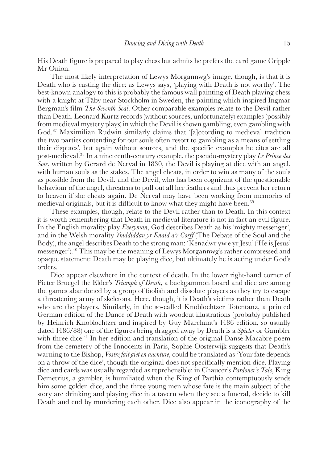<span id="page-8-0"></span>His Death figure is prepared to play chess but admits he prefers the card game Cripple Mr Onion.

The most likely interpretation of Lewys Morgannwg's image, though, is that it is Death who is casting the dice: as Lewys says, 'playing with Death is not worthy'. The best-known analogy to this is probably the famous wall painting of Death playing chess with a knight at Täby near Stockholm in Sweden, the painting which inspired Ingmar Bergman's film *The Seventh Seal*. Other comparable examples relate to the Devil rather than Death. Leonard Kurtz records (without sources, unfortunately) examples (possibly from medieval mystery plays) in which the Devil is shown gambling, even gambling with God.[37](#page-12-0) Maximilian Rudwin similarly claims that '[a]ccording to medieval tradition the two parties contending for our souls often resort to gambling as a means of settling their disputes', but again without sources, and the specific examples he cites are all post-medieval[.38](#page-12-0) In a nineteenth-century example, the pseudo-mystery play *Le Prince des Sots*, written by Gérard de Nerval in 1830, the Devil is playing at dice with an angel, with human souls as the stakes. The angel cheats, in order to win as many of the souls as possible from the Devil, and the Devil, who has been cognizant of the questionable behaviour of the angel, threatens to pull out all her feathers and thus prevent her return to heaven if she cheats again. De Nerval may have been working from memories of medieval originals, but it is difficult to know what they might have been.<sup>[39](#page-12-0)</sup>

These examples, though, relate to the Devil rather than to Death. In this context it is worth remembering that Death in medieval literature is not in fact an evil figure. In the English morality play *Everyman*, God describes Death as his 'mighty messenger', and in the Welsh morality *Ymddiddan yr Enaid a'r Corff* (The Debate of the Soul and the Body), the angel describes Death to the strong man: 'Kenadwr yw e yr Jesu' ('He is Jesus' messenger')[.40](#page-12-0) This may be the meaning of Lewys Morgannwg's rather compressed and opaque statement: Death may be playing dice, but ultimately he is acting under God's orders.

Dice appear elsewhere in the context of death. In the lower right-hand corner of Pieter Bruegel the Elder's *Triumph of Death*, a backgammon board and dice are among the games abandoned by a group of foolish and dissolute players as they try to escape a threatening army of skeletons. Here, though, it is Death's victims rather than Death who are the players. Similarly, in the so-called Knoblochtzer Totentanz, a printed German edition of the Dance of Death with woodcut illustrations (probably published by Heinrich Knoblochtzer and inspired by Guy Marchant's 1486 edition, so usually dated 1486/88) one of the figures being dragged away by Death is a *Spieler* or Gambler with three dice.<sup>41</sup> In her edition and translation of the original Danse Macabre poem from the cemetery of the Innocents in Paris, Sophie Oosterwijk suggests that Death's warning to the Bishop, *Vostre fait giet en auenture*, could be translated as 'Your fate depends on a throw of the dice', though the original does not specifically mention dice. Playing dice and cards was usually regarded as reprehensible: in Chaucer's *Pardoner's Tale*, King Demetrius, a gambler, is humiliated when the King of Parthia contemptuously sends him some golden dice, and the three young men whose fate is the main subject of the story are drinking and playing dice in a tavern when they see a funeral, decide to kill Death and end by murdering each other*.* Dice also appear in the iconography of the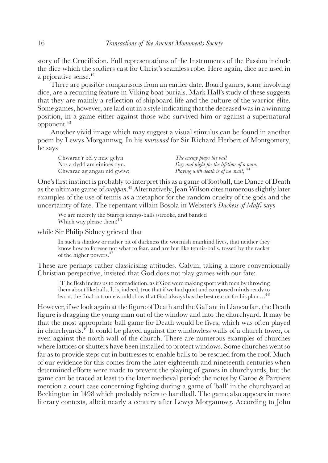<span id="page-9-0"></span>story of the Crucifixion. Full representations of the Instruments of the Passion include the dice which the soldiers cast for Christ's seamless robe. Here again, dice are used in a pejorative sense[.42](#page-12-0)

There are possible comparisons from an earlier date. Board games, some involving dice, are a recurring feature in Viking boat burials. Mark Hall's study of these suggests that they are mainly a reflection of shipboard life and the culture of the warrior élite. Some games, however, are laid out in a style indicating that the deceased was in a winning position, in a game either against those who survived him or against a supernatural opponent[.43](#page-12-0)

Another vivid image which may suggest a visual stimulus can be found in another poem by Lewys Morgannwg. In his *marwnad* for Sir Richard Herbert of Montgomery, he says

| Chwarae'r bêl y mae gelyn  | The enemy plays the ball                         |
|----------------------------|--------------------------------------------------|
| Nos a dydd am einioes dyn. | Day and night for the lifetime of a man.         |
| Chwarae ag angau nid gwiw; | Playing with death is of no avail; <sup>44</sup> |

One's first instinct is probably to interpret this as a game of football, the Dance of Death as the ultimate game of *cnappan*. [45](#page-12-0) Alternatively, Jean Wilson cites numerous slightly later examples of the use of tennis as a metaphor for the random cruelty of the gods and the uncertainty of fate. The repentant villain Bosola in Webster's *Duchess of Malfi* says

We are meerely the Starres tennys-balls (strooke, and banded Which way please them)<sup>[46](#page-12-0)</sup>

while Sir Philip Sidney grieved that

In such a shadow or rather pit of darkness the wormish mankind lives, that neither they know how to foresee nor what to fear, and are but like tennis-balls, tossed by the racket of the higher powers[.47](#page-12-0)

These are perhaps rather classicising attitudes. Calvin, taking a more conventionally Christian perspective, insisted that God does not play games with our fate:

[T]he flesh incites us to contradiction, as if God were making sport with men by throwing them about like balls. It is, indeed, true that if we had quiet and composed minds ready to learn, the final outcome would show that God always has the best reason for his plan …[48](#page-12-0)

However, if we look again at the figure of Death and the Gallant in Llancarfan, the Death figure is dragging the young man out of the window and into the churchyard. It may be that the most appropriate ball game for Death would be fives, which was often played in churchyards[.49](#page-12-0) It could be played against the windowless walls of a church tower, or even against the north wall of the church. There are numerous examples of churches where lattices or shutters have been installed to protect windows. Some churches went so far as to provide steps cut in buttresses to enable balls to be rescued from the roof. Much of our evidence for this comes from the later eighteenth and nineteenth centuries when determined efforts were made to prevent the playing of games in churchyards, but the game can be traced at least to the later medieval period: the notes by Caroe & Partners mention a court case concerning fighting during a game of 'ball' in the churchyard at Beckington in 1498 which probably refers to handball. The game also appears in more literary contexts, albeit nearly a century after Lewys Morgannwg. According to John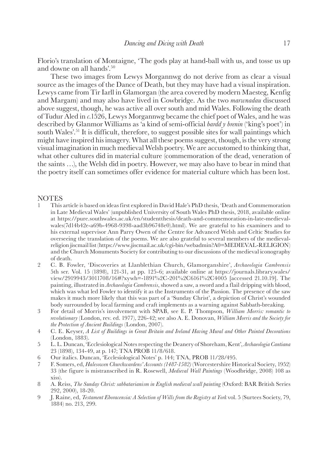<span id="page-10-0"></span>Florio's translation of Montaigne, 'The gods play at hand-ball with us, and tosse us up and downe on all hands'.[50](#page-12-0)

These two images from Lewys Morgannwg do not derive from as clear a visual source as the images of the Dance of Death, but they may have had a visual inspiration. Lewys came from Tir Iarll in Glamorgan (the area covered by modern Maesteg, Kenfig and Margam) and may also have lived in Cowbridge. As the two *marwnadau* discussed above suggest, though, he was active all over south and mid Wales. Following the death of Tudur Aled in *c.*1526, Lewys Morgannwg became the chief poet of Wales, and he was described by Glanmor Williams as 'a kind of semi-official *bardd y brenin* ('king's poet') in south Wales'.[51](#page-12-0) It is difficult, therefore, to suggest possible sites for wall paintings which might have inspired his imagery. What all these poems suggest, though, is the very strong visual imagination in much medieval Welsh poetry. We are accustomed to thinking that, what other cultures did in material culture (commemoration of the dead, veneration of the saints …), the Welsh did in poetry. However, we may also have to bear in mind that the poetry itself can sometimes offer evidence for material culture which has been lost.

## **NOTES**

- [1](#page-0-0) This article is based on ideas first explored in David Hale's PhD thesis, 'Death and Commemoration in Late Medieval Wales' (unpublished University of South Wales PhD thesis, 2018, available online at https://pure.southwales.ac.uk/en/studentthesis/death-and-commemoration-in-late-medievalwales(7d14b42e-a69b-4968-9398-aad3b96748e0).html). We are grateful to his examiners and to his external supervisor Ann Parry Owen of the Centre for Advanced Welsh and Celtic Studies for overseeing the translation of the poems. We are also grateful to several members of the medievalreligion jiscmail list (https://www.jiscmail.ac.uk/cgi-bin/webadmin?A0=MEDIEVAL-RELIGION) and the Church Monuments Society for contributing to our discussions of the medieval iconography of death.
- [2](#page-0-0) C. B. Fowler, 'Discoveries at Llanblethian Church, Glamorganshire', *Archaeologia Cambrensis* 5th ser. Vol. 15 (1898), 121-31, at pp. 125-6; available online at https://journals.library.wales/ view/2919943/3011708/16#?xywh=-1891%2C-201%2C6161%2C4005 [accessed 21.10.19]. The painting, illustrated in *Archaeologia Cambrensis*, showed a saw, a sword and a flail dripping with blood, which was what led Fowler to identify it as the Instruments of the Passion. The presence of the saw makes it much more likely that this was part of a 'Sunday Christ', a depiction of Christ's wounded body surrounded by local farming and craft implements as a warning against Sabbath-breaking.
- [3](#page-0-0) For detail of Morris's involvement with SPAB, see E. P. Thompson, *William Morris: romantic to revolutionary* (London, rev. ed. 1977), 226-42; see also A. E. Donovan, *William Morris and the Society for the Protection of Ancient Buildings* (London, 2007).
- [4](#page-0-0) C. E. Keyser, *A List of Buildings in Great Britain and Ireland Having Mural and Other Painted Decorations* (London, 1883).
- [5](#page-1-0) L. L. Duncan, 'Ecclesiological Notes respecting the Deanery of Shoreham, Kent', *Archaeologia Cantiana*  23 (1898), 134-49, at p. 147; TNA PROB 11/8/618.
- [6](#page-1-0) Our italics. Duncan, 'Ecclesiological Notes' p. 144; TNA, PROB 11/28/495.
- [7](#page-1-0) F. Somers, ed, *Halesowen Churchwardens' Accounts (1487-1582)* (Worcestershire Historical Society, 1952) 33 (the figure is mistranscribed in R. Rosewell, *Medieval Wall Paintings* (Woodbridge, 2008) 108 as xiss).
- [8](#page-1-0) A. Reiss, *The Sunday Christ: sabbatarianism in English medieval wall painting* (Oxford: BAR British Series 292, 2000), 18-20.
- [9](#page-1-0) J. Raine, ed, *Testament Eboracensia: A Selection of Wills from the Registry at York* vol. 5 (Surtees Society, 79, 1884) no. 213, 299.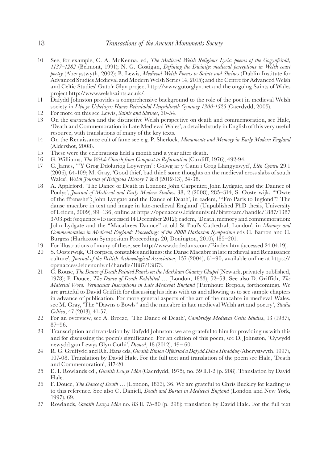- [10](#page-1-0) See, for example, C. A. McKenna, ed, *The Medieval Welsh Religious Lyric: poems of the Gogynfeirdd, 1137–1282* (Belmont, 1991); N. G. Costigan, *Defining the Divinity: medieval perceptions in Welsh court poetry* (Aberystwyth, 2002); B. Lewis, *Medieval Welsh Poems to Saints and Shrines* (Dublin Institute for Advanced Studies Medieval and Modern Welsh Series 14, 2015); and the Centre for Advanced Welsh and Celtic Studies' Guto'r Glyn project http://www.gutorglyn.net and the ongoing Saints of Wales project http://www.welshsaints.ac.uk/.
- [11](#page-1-0) Dafydd Johnston provides a comprehensive background to the role of the poet in medieval Welsh society in *Llên yr Uchelwyr: Hanes Beirniadol Llenyddiaeth Gymraeg 1300-1525* (Caerdydd, 2005).
- [12](#page-2-0) For more on this see Lewis, *Saints and Shrines*, 30-54.
- [13](#page-2-0) On the *marwnadau* and the distinctive Welsh perspective on death and commemoration, see Hale, 'Death and Commemoration in Late Medieval Wales', a detailed study in English of this very useful resource, with translations of many of the key texts.
- [14](#page-2-0) On the Renaissance cult of fame see e.g. P. Sherlock, *Monuments and Memory in Early Modern England* (Aldershot, 2008).
- [15](#page-2-0) These were the celebrations held a month and a year after death.<br>16 G. Williams. *The Welsh Church from Conquest to Reformation* (Cardiff.
- [16](#page-3-0) G. Williams, *The Welsh Church from Conquest to Reformation* (Cardiff, 1976), 492-94.
- [17](#page-3-0) C. James, '"Y Grog Ddoluriog Loywrym": Golwg ar y Canu i Grog Llangynwyd', *Llên Cymru* 29.1 (2006), 64-109; M. Gray, 'Good thief, bad thief: some thoughts on the medieval cross slabs of south Wales', *Welsh Journal of Religious History* 7 & 8 (2012-13), 24-38.
- [18](#page-3-0) A. Appleford, 'The Dance of Death in London: John Carpenter, John Lydgate, and the Daunce of Poulys', *Journal of Medieval and Early Modern Studies*, 38, 2 (2008), 285–314; S. Oosterwijk, '"Owte of the ffrensshe": John Lydgate and the Dance of Death', in eadem, '"Fro Paris to Inglond"? The danse macabre in text and image in late-medieval England' (Unpublished PhD thesis, University of Leiden, 2009), 99–136, online at https://openaccess.leidenuniv.nl/bitstream/handle/1887/1387 3/03.pdf?sequence=15 (accessed 14 December 2012); eadem, 'Death, memory and commemoration: John Lydgate and the "Macabrees Daunce" at old St Paul's Cathedral, London', in *Memory and Commemoration in Medieval England: Proceedings of the 2008 Harlaxton Symposium* eds C. Barron and C. Burgess (Harlaxton Symposium Proceedings 20, Donington, 2010), 185–201.
- [19](#page-3-0) For illustrations of many of these, see http://www.dodedans.com/Eindex.htm (accessed 24.04.19).
- [20](#page-3-0) S. Oosterwijk, 'Of corpses, constables and kings: the Danse Macabre in late medieval and Renaissance culture', *Journal of the British Archaeological Association*, 157 (2004), 61–90, available online at https:// openaccess.leidenuniv.nl/handle/1887/13873.
- [21](#page-3-0) C. Rouse, *The Dance of Death Painted Panels on the Markham Chantry Chapel* (Newark, privately published, 1978); F. Douce, *The Dance of Death Exhibited* … (London, 1833), 52–53. See also D. Griffith, *The Material Word. Vernacular Inscriptions in Late Medieval England* (Turnhout: Brepols, forthcoming). We are grateful to David Griffith for discussing his ideas with us and allowing us to see sample chapters in advance of publication. For more general aspects of the art of the macabre in medieval Wales, see M. Gray, 'The "Dawns o Bowls" and the macabre in late medieval Welsh art and poetry', *Studia Celtica*, 47 (2013), 41-57.
- [22](#page-4-0) For an overview, see A. Breeze, 'The Dance of Death', *Cambridge Medieval Celtic Studies*, 13 (1987), 87–96.
- [23](#page-4-0) Transcription and translation by Dafydd Johnston: we are grateful to him for providing us with this and for discussing the poem's significance. For an edition of this poem, see D. Johnston, 'Cywydd newydd gan Lewys Glyn Cothi', *Dwned*, 18 (2012), 49– 60.
- [24](#page-5-0) R. G. Gruffydd and Rh. Ifans eds, *Gwaith Einion Offeiriad a Dafydd Ddu o Hiraddug* (Aberystwyth, 1997), 107-08. Translation by David Hale. For the full text and translation of the poem see Hale, 'Death and Commemoration', 317-20.
- [25](#page-5-0) E. I. Rowlands ed., *Gwaith Lewys Môn* (Caerdydd, 1975), no. 59 ll.1-2 (p. 208). Translation by David Hale.
- [26](#page-5-0) F. Douce, *The Dance of Death …* (London, 1833), 36. We are grateful to Chris Buckley for leading us to this reference. See also C. Daniell, *Death and Burial in Medieval England* (London and New York, 1997), 69.
- [27](#page-5-0) Rowlands, *Gwaith Lewys Môn* no. 83 ll. 75-80 (p. 298); translation by David Hale. For the full text

<span id="page-11-0"></span>